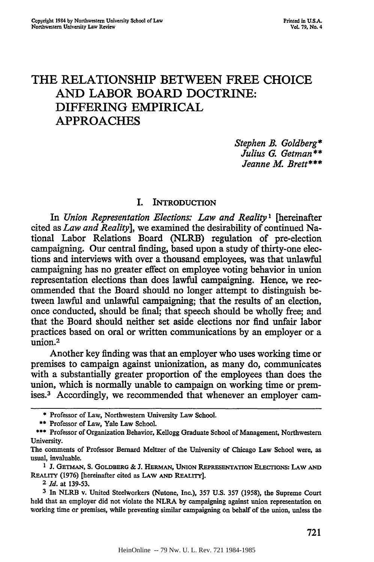# THE RELATIONSHIP **BETWEEN** FREE **CHOICE AND** LABOR BOARD DOCTRINE: DIFFERING EMPIRICAL APPROACHES

*Stephen B. Goldberg\* Julius G. Getman\*\* Jeanne M. Brett\*\*\**

## I. INTRODUCTION

In *Union Representation Elections: Law and Reality1* [hereinafter cited as *Law and Reality],* we examined the desirability of continued National Labor Relations Board (NLRB) regulation of pre-election campaigning. Our central finding, based upon a study of thirty-one elections and interviews with over a thousand employees, was that unlawful campaigning has no greater effect on employee voting behavior in union representation elections than does lawful campaigning. Hence, we recommended that the Board should no longer attempt to distinguish between lawful and unlawful campaigning; that the results of an election, once conducted, should be final; that speech should be wholly free; and that the Board should neither set aside elections nor find unfair labor practices based on oral or written communications by an employer or a union.<sup>2</sup>

Another key finding was that an employer who uses working time or premises to campaign against unionization, as many do, communicates with a substantially greater proportion of the employees than does the union, which is normally unable to campaign on working time or premises.3 Accordingly, we recommended that whenever an employer cam-

2 *Id.* at **139-53.**

<sup>\*</sup> Professor of Law, Northwestern University Law School.

<sup>\*\*</sup> Professor of Law, Yale Law School.

<sup>\*\*\*</sup> Professor of Organization Behavior, Kellogg Graduate School of Management, Northwestern University.

The comments of Professor Bernard Meltzer of the University of Chicago Law School were, as usual, invaluable.

**<sup>1</sup>***J.* **GETMAN, S. GOLDBERG & J. HERMAN, UNION REPRESENTATION ELECrIONS: LAW AND REALITY (1976)** [hereinafter cited as **LAW AND REALITY].**

<sup>3</sup> In NLRB v. United Steelworkers (Nutone, Inc.), **357 U.S. 357 (1958),** the Supreme Court held that an employer did not violate the NLRA **by** campaigning against union representation on working time or premises, while preventing similar campaigning on behalf of the union, unless the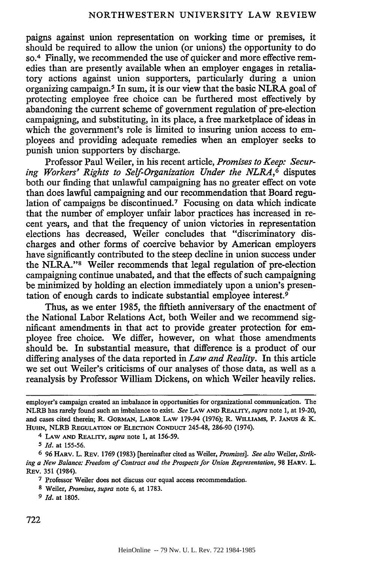paigns against union representation on working time or premises, it should be required to allow the union (or unions) the opportunity to do so.4 Finally, we recommended the use of quicker and more effective remedies than are presently available when an employer engages in retaliatory actions against union supporters, particularly during a union organizing campaign. 5 In sum, it is our view that the basic NLRA goal of protecting employee free choice can be furthered most effectively by abandoning the current scheme of government regulation of pre-election campaigning, and substituting, in its place, a free marketplace of ideas in which the government's role is limited to insuring union access to employees and providing adequate remedies when an employer seeks to punish union supporters by discharge.

Professor Paul Weiler, in his recent article, *Promises to Keep: Secur*ing Workers' Rights to Self-Organization Under the NLRA,<sup>6</sup> disputes both our finding that unlawful campaigning has no greater effect on vote than does lawful campaigning and our recommendation that Board regulation of campaigns be discontinued.7 Focusing on data which indicate that the number of employer unfair labor practices has increased in recent years, and that the frequency of union victories in representation elections has decreased, Weiler concludes that "discriminatory discharges and other forms of coercive behavior by American employers have significantly contributed to the steep decline in union success under the NLRA."<sup>8</sup> Weiler recommends that legal regulation of pre-election campaigning continue unabated, and that the effects of such campaigning be minimized by holding an election immediately upon a union's presentation of enough cards to indicate substantial employee interest.<sup>9</sup>

Thus, as we enter 1985, the fiftieth anniversary of the enactment of the National Labor Relations Act, both Weiler and we recommend significant amendments in that act to provide greater protection for employee free choice. We differ, however, on what those amendments should be. In substantial measure, that difference is a product of our differing analyses of the data reported in *Law and Reality.* In this article we set out Weiler's criticisms of our analyses of those data, as well as a reanalysis by Professor William Dickens, on which Weiler heavily relies.

*9 Id.* at 1805.

employer's campaign created an imbalance in opportunities for organizational communication. The NLRB has rarely found such an imbalance to exist. *See* LAW **AND REALITY,** *supra* note 1, at 19-20, and cases cited therein; R. GORMAN, LABOR LAW 179-94 (1976); R. WILLIAMS, P. **JANUS** & K. **HUHN,** NLRB **REGULATION OF ELECTION CONDUCT** 245-48, 286-90 (1974).

<sup>4</sup> **LAW AND REALITY,** *supra* note **1,** at **156-59.**

**<sup>5</sup>** *Id.* at 155-56.

<sup>6 96</sup> **HARv.** L. REv. 1769 **(1983)** [hereinafter cited as **Weiler,** *Promises]. See also* Weiler, *Striking a New Balance: Freedom of Contract and the Prospects for Union Representation,* 98 **HARV.** L. REv. 351 (1984).

**<sup>7</sup>** Professor Weiler does not discuss our equal access recommendation.

**<sup>8</sup>** Weiler, *Promises, supra* note 6, at 1783.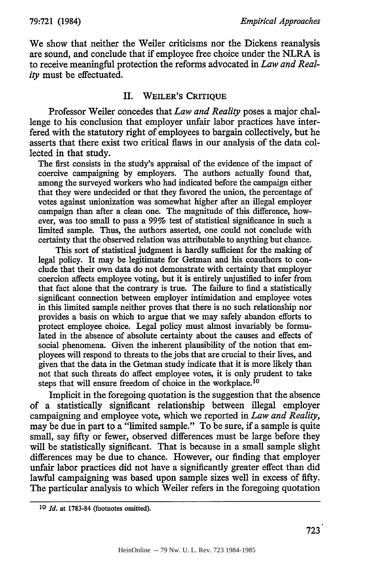We show that neither the Weiler criticisms nor the Dickens reanalysis are sound, and conclude that if employee free choice under the NLRA is to receive meaningful protection the reforms advocated in *Law and Reality* must be effectuated.

# II. WEILER'S CRITIQUE

Professor Weiler concedes that *Law and Reality* poses a major challenge to his conclusion that employer unfair labor practices have interfered with the statutory right of employees to bargain collectively, but he asserts that there exist two critical flaws in our analysis of the data collected in that study.

The first consists in the study's appraisal of the evidence of the impact of coercive campaigning **by** employers. The authors actually found that, among the surveyed workers who had indicated before the campaign either that they were undecided or that they favored the union, the percentage of votes against unionization was somewhat higher after an illegal employer campaign than after a clean one. The magnitude of this difference, however, was too small to pass a 99% test of statistical significance in such a limited sample. Thus, the authors asserted, one could not conclude with certainty that the observed relation was attributable to anything but chance.

This sort of statistical judgment is hardly sufficient for the making of legal policy. It may be legitimate for Getman and his coauthors to conclude that their own data do not demonstrate with certainty that employer coercion affects employee voting, but it is entirely unjustified to infer from that fact alone that the contrary is true. The failure to find a statistically significant connection between employer intimidation and employee votes in this limited sample neither proves that there is no such relationship nor provides a basis on which to argue that we may safely abandon efforts to protect employee choice. Legal policy must almost invariably be formulated in the absence of absolute certainty about the causes and effects of social phenomena. Given the inherent plausibility of the notion that employees will respond to threats to the jobs that are crucial to their lives, and given that the data in the Getman study indicate that it is more likely than not that such threats do affect employee votes, it is only prudent to take steps that will ensure freedom of choice in the workplace.10

Implicit in the foregoing quotation is the suggestion that the absence of a statistically significant relationship between illegal employer campaigning and employee vote, which we reported in *Law and Reality,* may be due in part to a "limited sample." To be sure, if a sample is quite small, say **fifty** or fewer, observed differences must be large before they will be statistically significant. That is because in a small sample slight differences may be due to chance. However, our finding that employer unfair labor practices did not have a significantly greater effect than did lawful campaigning was based upon sample sizes well in excess of fifty. The particular analysis to which Weiler refers in the foregoing quotation

**<sup>10</sup>***Id.* at **1783-84** (footnotes **omitted).**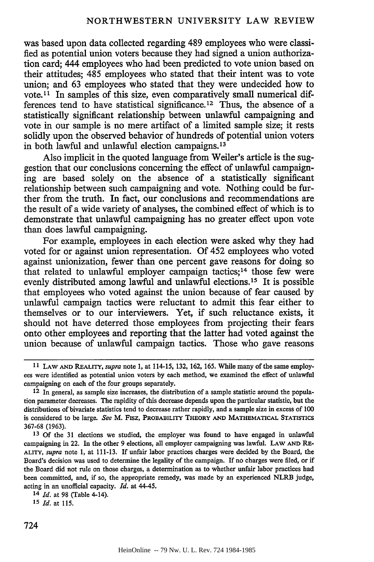was based upon data collected regarding 489 employees who were classified as potential union voters because they had signed a union authorization card; 444 employees who had been predicted to vote union based on their attitudes; 485 employees who stated that their intent was to vote union; and 63 employees who stated that they were undecided how to vote.<sup>11</sup> In samples of this size, even comparatively small numerical differences tend to have statistical significance.<sup>12</sup> Thus, the absence of a statistically significant relationship between unlawful campaigning and vote in our sample is no mere artifact of a limited sample size; it rests solidly upon the observed behavior of hundreds of potential union voters in both lawful and unlawful election campaigns.<sup>13</sup>

Also implicit in the quoted language from Weiler's article is the suggestion that our conclusions concerning the effect of unlawful campaigning are based solely on the absence of a statistically significant relationship between such campaigning and vote. Nothing could be further from the truth. In fact, our conclusions and recommendations are the result of a wide variety of analyses, the combined effect of which is to demonstrate that unlawful campaigning has no greater effect upon vote than does lawful campaigning.

For example, employees in each election were asked why they had voted for or against union representation. Of 452 employees who voted against unionization, fewer than one percent gave reasons for doing so that related to unlawful employer campaign tactics; **' <sup>4</sup>**those few were evenly distributed among lawful and unlawful elections.<sup>15</sup> It is possible that employees who voted against the union because of fear caused by unlawful campaign tactics were reluctant to admit this fear either to themselves or to our interviewers. Yet, if such reluctance exists, it should not have deterred those employees from projecting their fears onto other employees and reporting that the latter had voted against the union because of unlawful campaign tactics. Those who gave reasons

*14 Id.* at 98 (Table 4-14).

*15* Id. at 115.

**<sup>11</sup> LAW AND REALITY,** *supra* note **1, at** 114-15, **132, 162, 165.** while many of the same employees were identified as potential union voters by each method, we examined the effect of unlawful campaigning on each of the four groups separately.

**<sup>12</sup>** In general, as sample size increases, the distribution of a sample statistic around the population parameter decreases. The rapidity of this decrease depends upon the particular statistic, but the distributions of bivariate statistics tend to decrease rather rapidly, and a sample size in excess of **100** is considered to be large. *See* M. Fisz, **PROBABILITY THEORY AND MATHEMATICAL STATISTICS** 367-68 (1963).

**<sup>13</sup>**Of the 31 elections we studied, the employer was found to have engaged in unlawful campaigning in 22. In the other 9 elections, all employer campaigning was lawful. **LAW AND** RE-ALITY, *supra* note **1,** at 111-13. **If** unfair labor practices charges were decided by the Board, the Board's decision was used to determine the legality of the campaign. If no charges were filed, or if the Board did not rule on those charges, a determination as to whether unfair labor practices had been committed, and, if so, the appropriate remedy, was made by an experienced NLRB judge, acting in an unofficial capacity. *Id.* at 44-45.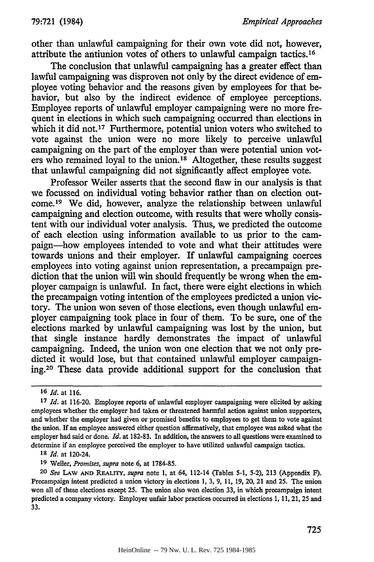other than unlawful campaigning for their own vote did not, however, attribute the antiunion votes of others to unlawful campaign tactics. <sup>16</sup>

The conclusion that unlawful campaigning has a greater effect than lawful campaigning was disproven not only by the direct evidence of employee voting behavior and the reasons given by employees for that behavior, but also by the indirect evidence of employee perceptions. Employee reports of unlawful employer campaigning were no more frequent in elections in which such campaigning occurred than elections in which it did not.<sup>17</sup> Furthermore, potential union voters who switched to vote against the union were no more likely to perceive unlawful campaigning on the part of the employer than were potential union voters who remained loyal to the union. 18 Altogether, these results suggest that unlawful campaigning did not significantly affect employee vote.

Professor Weiler asserts that the second flaw in our analysis is that we focussed on individual voting behavior rather than on election outcome. 19 We did, however, analyze the relationship between unlawful campaigning and election outcome, with results that were wholly consistent with our individual voter analysis. Thus, we predicted the outcome of each election using information available to us prior to the campaign-how employees intended to vote and what their attitudes were towards unions and their employer. If unlawful campaigning coerces employees into voting against union representation, a precampaign prediction that the union will win should frequently be wrong when the employer campaign is unlawful. In fact, there were eight elections in which the precampaign voting intention of the employees predicted a union victory. The union won seven of those elections, even though unlawful employer campaigning took place in four of them. To be sure, one of the elections marked by unlawful campaigning was lost by the union, but that single instance hardly demonstrates the impact of unlawful campaigning. Indeed, the union won one election that we not only predicted it would lose, but that contained unlawful employer campaigning.20 These data provide additional support for the conclusion that

*18 Id.* at 120-24.

**19** Weiler, *Promises, supra* note 6, at 1784-85.

20 *See* **LAW AND REALTy,** *supra* note 1, at 64, 112-14 (Tables 5-1, 5-2), 213 (Appendix F). Precampaign intent predicted a union victory in elections 1, 3, 9, 11, 19, 20, 21 and 25. The union won all of these elections except 25. The union also won election 33, in which precampaign intent predicted a company victory. Employer unfair labor practices occurred in elections 1, 11, 21, 25 and 33.

**<sup>16</sup>** *Id.* at 116.

**<sup>17</sup>** *Id.* at 116-20. Employee reports of unlawful employer campaigning were elicited by asking employees whether the employer had taken or threatened harmful action against union supporters, and whether the employer had given or promised benefits to employees to get them to vote against the union. If an employee answered either question affirmatively, that employee was asked what the employer had said or done. *Id.* at 182-83. In addition, the answers to all questions were examined to determine if an employee perceived the employer to have utilized unlawful campaign tactics.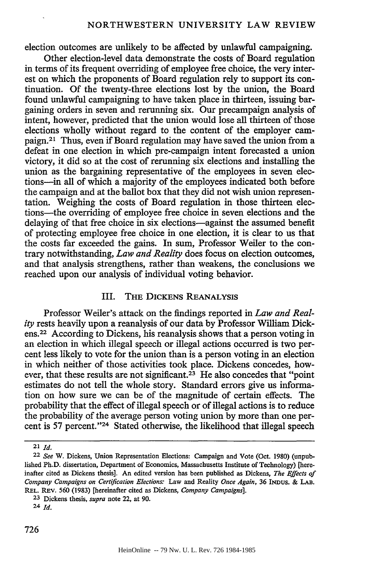election outcomes are unlikely to be affected by unlawful campaigning.

Other election-level data demonstrate the costs of Board regulation in terms of its frequent overriding of employee free choice, the very interest on which the proponents of Board regulation rely to support its continuation. Of the twenty-three elections lost by the union, the Board found unlawful campaigning to have taken place in thirteen, issuing bargaining orders in seven and rerunning six. Our precampaign analysis of intent, however, predicted that the union would lose all thirteen of those elections wholly without regard to the content of the employer campaign.21 Thus, even if Board regulation may have saved the union from a defeat in one election in which pre-campaign intent forecasted a union victory, it did so at the cost of rerunning six elections and installing the union as the bargaining representative of the employees in seven elections-in all of which a majority of the employees indicated both before the campaign and at the ballot box that they did not wish union representation. Weighing the costs of Board regulation in those thirteen elections-the overriding of employee free choice in seven elections and the delaying of that free choice in six elections-against the assumed benefit of protecting employee free choice in one election, it is clear to us that the costs far exceeded the gains. In sum, Professor Weiler to the contrary notwithstanding, *Law and Reality* does focus on election outcomes, and that analysis strengthens, rather than weakens, the conclusions we reached upon our analysis of individual voting behavior.

#### III. THE DICKENS **REANALYSIS**

Professor Weiler's attack on the findings reported in *Law and Reality* rests heavily upon a reanalysis of our data by Professor William Dickens. 22 According to Dickens, his reanalysis shows that a person voting in an election in which illegal speech or illegal actions occurred is two percent less likely to vote for the union than is a person voting in an election in which neither of those activities took place. Dickens concedes, however, that these results are not significant.<sup>23</sup> He also concedes that "point" estimates do not tell the whole story. Standard errors give us information on how sure we can be of the magnitude of certain effects. The probability that the effect of illegal speech or of illegal actions is to reduce the probability of the average person voting union by more than one percent is 57 percent."<sup>24</sup> Stated otherwise, the likelihood that illegal speech

**<sup>21</sup>** *Id.*

<sup>22</sup> *See* W. Dickens, Union Representation Elections: Campaign and Vote (Oct. 1980) (unpublished Ph.D. dissertation, Department of Economics, Massachusetts Institute of Technology) [hereinafter cited as Dickens thesis]. An edited version has been published as Dickens, *The Effects of Company Campaigns on Certification Elections* Law and Reality *Once Again,* 36 **INDUS.** & **LAB.** REL. REv. 560 (1983) [hereinafter cited as Dickens, *Company Campaigns].*

**<sup>23</sup>** Dickens thesis, *supra* note 22, at 90.

<sup>24</sup> *Id.*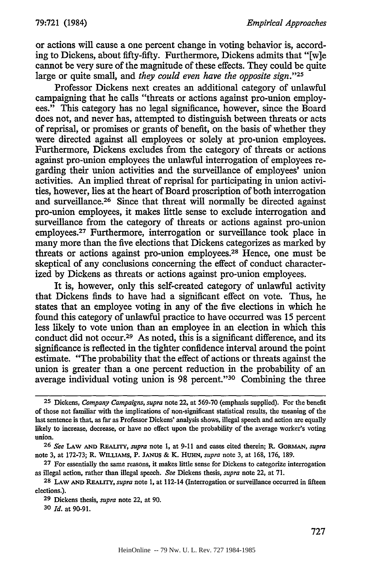or actions will cause a one percent change in voting behavior is, according to Dickens, about fifty-fifty. Furthermore, Dickens admits that "[w]e cannot be very sure of the magnitude of these effects. They could be quite large or quite small, and *they could even have the opposite sign.*"<sup>25</sup>

Professor Dickens next creates an additional category of unlawful campaigning that he calls "threats or actions against pro-union employees." This category has no legal significance, however, since the Board does not, and never has, attempted to distinguish between threats or acts of reprisal, or promises or grants of benefit, on the basis of whether they were directed against all employees or solely at pro-union employees. Furthermore, Dickens excludes from the category of threats or actions against pro-union employees the unlawful interrogation of employees regarding their union activities and the surveillance of employees' union activities. An implied threat of reprisal for participating in union activities, however, lies at the heart of Board proscription of both interrogation and surveillance.<sup>26</sup> Since that threat will normally be directed against pro-union employees, it makes little sense to exclude interrogation and surveillance from the category of threats or actions against pro-union employees.<sup>27</sup> Furthermore, interrogation or surveillance took place in many more than the five elections that Dickens categorizes as marked by threats or actions against pro-union employees.<sup>28</sup> Hence, one must be skeptical of any conclusions concerning the effect of conduct characterized by Dickens as threats or actions against pro-union employees.

It is, however, only this self-created category of unlawful activity that Dickens finds to have had a significant effect on vote. Thus, he states that an employee voting in any of the five elections in which he found this category of unlawful practice to have occurred was 15 percent less likely to vote union than an employee in an election in which this conduct did not occur.<sup>29</sup> As noted, this is a significant difference, and its significance is reflected in the tighter confidence interval around the point estimate. "The probability that the effect of actions or threats against the union is greater than a one percent reduction in the probability of an average individual voting union is 98 percent."<sup>30</sup> Combining the three

**27** For essentially the same reasons, it makes little sense **for** Dickens to categorize interrogation as illegal action, rather than illegal speech. *See* Dickens thesis, *supra* note 22, at **71.**

**30** *id.* **at 90-91.**

**<sup>25</sup>** Dickens, *Company Campaigns, supra* note 22, at 569-70 (emphasis supplied). For the benefit of those not familiar with the implications of non-significant statistical results, the meaning of the last sentence is that, as far as Professor Dickens' analysis shows, illegal speech and action are equally likely to increase, decrease, or have no effect upon the probability of the average worker's voting union.

**<sup>26</sup>** *See* **LAW AND REALITY,** *supra* note **1,** at **9-11** and cases cited therein; R. GORMAN, *supra* note **3,** at **172-73; R.** WILLIAMS, **P.** JANus **&** K. **HUHN,** *supra* note **3,** at **168, 176, 189.**

**<sup>28</sup> LAW AND REALITY,** *supra* note **1, at** 112-14 (Interrogation **or surveillance** occurred in **fifteen elections.).**

**<sup>29</sup>** Dickens **thesis,** *supra* **note 22, at 90.**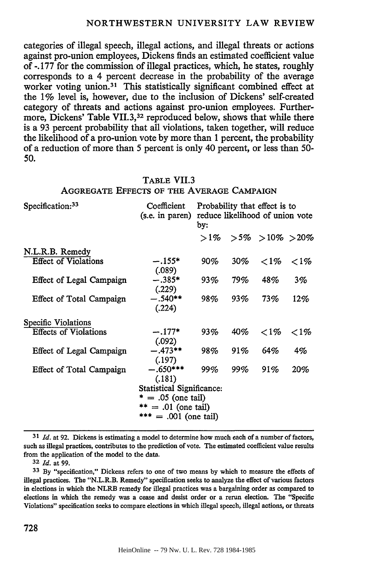categories of illegal speech, illegal actions, and illegal threats or actions against pro-union employees, Dickens finds an estimated coefficient value of -. 177 for the commission of illegal practices, which, he states, roughly corresponds to a 4 percent decrease in the probability of the average worker voting union.<sup>31</sup> This statistically significant combined effect at the **1%** level is, however, due to the inclusion of Dickens' self-created category of threats and actions against pro-union employees. Furthermore, Dickens' Table VII.3,<sup>32</sup> reproduced below, shows that while there is a 93 percent probability that all violations, taken together, will reduce the likelihood of a pro-union vote by more than 1 percent, the probability of a reduction of more than 5 percent is only 40 percent, or less than 50- *50.*

### **TABLE VII.3**

#### AGGREGATE EFFECTS OF THE AVERAGE CAMPAIGN

| Specification: <sup>33</sup> | Coefficient<br>(s.e. in paren)                           | Probability that effect is to<br>reduce likelihood of union vote<br>by: |             |                               |               |  |  |  |
|------------------------------|----------------------------------------------------------|-------------------------------------------------------------------------|-------------|-------------------------------|---------------|--|--|--|
|                              |                                                          |                                                                         |             | $>1\%$ $>5\%$ $>10\%$ $>20\%$ |               |  |  |  |
| N.L.R.B. Remedy              |                                                          |                                                                         |             |                               |               |  |  |  |
| <b>Effect of Violations</b>  | $-.155*$<br>(.089)                                       | 90%                                                                     | $30\%$      | ${<}1\%$                      | $\langle 1\%$ |  |  |  |
| Effect of Legal Campaign     | $-.385*$<br>(.229)                                       | 93%                                                                     | 79% -       | 48%                           | $3\%$         |  |  |  |
| Effect of Total Campaign     | $-.540**$<br>(.224)                                      | 98%                                                                     | 93 <i>%</i> | 73%                           | 12%           |  |  |  |
| Specific Violations          |                                                          |                                                                         |             |                               |               |  |  |  |
| <b>Effects of Violations</b> | $-.177*$<br>(.092)                                       | 93%                                                                     | 40%         | $\langle 1\%$                 | ${<}1\%$      |  |  |  |
| Effect of Legal Campaign     | $-.473**$<br>(.197)                                      | 98%                                                                     | 91%         | 64%                           | 4%            |  |  |  |
| Effect of Total Campaign     | $-.650***$<br>(.181)                                     | 99%                                                                     | 99%         | 91%                           | <b>20%</b>    |  |  |  |
|                              | <b>Statistical Significance:</b><br>$* = .05$ (one tail) |                                                                         |             |                               |               |  |  |  |
|                              |                                                          |                                                                         |             |                               |               |  |  |  |
|                              | $*** = .01$ (one tail)                                   |                                                                         |             |                               |               |  |  |  |
| *** = .001 (one tail)        |                                                          |                                                                         |             |                               |               |  |  |  |

**31** *Id.* at **92.** Dickens is estimating a model to determine how much each of a number of factors, such as illegal practices, contributes to the prediction of vote. The estimated coefficient value results from the application of the model to the data.

**32** *Id.* at **99.**

**33 By** "specification," Dickens refers to one of two means **by** which to measure the effects of illegal practices. The "N.L.R.B. Remedy" specification seeks to analyze the effect of various factors in elections in which the NLRB remedy for illegal practices was a bargaining order as compared to elections in which the remedy was a cease and desist order or a rerun election. The "Specific Violations" specification seeks to compare elections in which illegal speech, illegal actions, or threats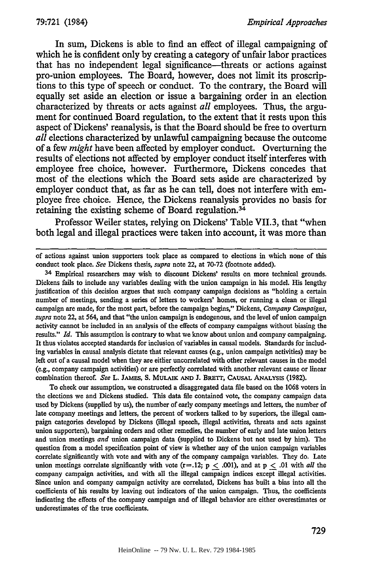In sum, Dickens is able to find an effect of illegal campaigning of which he is confident only **by** creating a category of unfair labor practices that has no independent legal significance-threats or actions against pro-union employees. The Board, however, does not limit its proscriptions to this type of speech or conduct. To the contrary, the Board will equally set aside an election or issue a bargaining order in an election characterized **by** threats or acts against *all* employees. Thus, the argument for continued Board regulation, to the extent that it rests upon this aspect of Dickens' reanalysis, is that the Board should be free to overturn *all* elections characterized **by** unlawful campaigning because the outcome of a few *might* have been affected **by** employer conduct. Overturning the results of elections not affected **by** employer conduct itself interferes with employee free choice, however. Furthermore, Dickens concedes that most of the elections which the Board sets aside are characterized **by** employer conduct that, as far as he can tell, does not interfere with employee free choice. Hence, the Dickens reanalysis provides no basis for retaining the existing scheme of Board regulation.<sup>34</sup>

Professor Weiler states, relying on Dickens' Table VII.3, that "when both legal and illegal practices were taken into account, it was more than

of actions against union supporters took place as compared to elections in which none of this conduct took place. *See* Dickens thesis, *supra* note 22, at 70-72 (footnote added).

34 Empirical researchers may wish to discount Dickens' results on more technical grounds. Dickens fails to include any variables dealing with the union campaign in his model. His lengthy justification of this decision argues that such company campaign decisions as "holding a certain number of meetings, sending a series of letters to workers' homes, or running a clean or illegal campaign are made, for the most part, before the campaign begins," Dickens, *Company Campaigns, supra* note 22, at 564, and that "the union campaign is endogenous, and the level of union campaign activity cannot be included in an analysis of the effects of company campaigns without biasing the results." *Id.* This assumption is contrary to what we know about union and company campaigning. It thus violates accepted standards for inclusion of variables in causal models. Standards for including variables in causal analysis dictate that relevant causes (e.g., union campaign activities) may be left out of a causal model when they are either uncorrelated with other relevant causes in the model (e.g., company campaign activities) or are perfectly correlated with another relevant cause or linear combination thereof. *See L. JAMES*, S. MULAIK AND J. BRETT, CAUSAL ANALYSIS (1982).

To check our assumption, we constructed a disaggregated data file based on the 1068 voters in the elections we and Dickens studied. This data file contained vote, the company campaign data used by Dickens (supplied by us), the number of early company meetings and letters, the number of late company meetings and letters, the percent of workers talked to by superiors, the illegal campaign categories developed by Dickens (illegal speech, illegal activities, threats and acts against union supporters), bargaining orders and other remedies, the number of early and late union letters and union meetings *and* union campaign data (supplied to Dickens but not used by him). The question from a model specification point of view is whether any of the union campaign variables correlate significantly with vote and with any of the company campaign variables. They do. Late union meetings correlate significantly with vote (r=.12; p  $\lt$  .001), and at p  $\lt$  .01 with *all* the company campaign activities, and with all the illegal campaign indices except illegal activities. Since union and company campaign activity are correlated, Dickens has built a bias into all the coefficients of his results by leaving out indicators of the union campaign. Thus, the coefficients indicating the effects of the company campaign and of illegal behavior are either overestimates or underestimates of the true coefficients.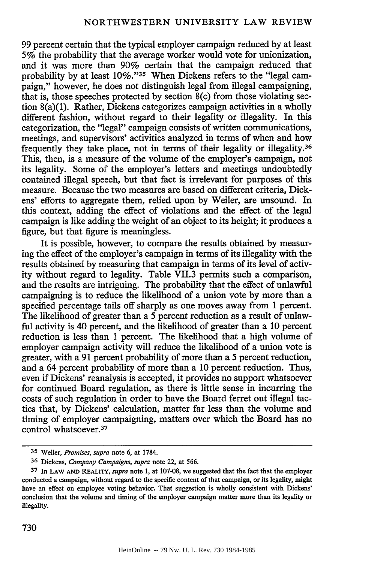99 percent certain that the typical employer campaign reduced by at least 5% the probability that the average worker would vote for unionization, and it was more than 90% certain that the campaign reduced that probability by at least **10%."<sup>35</sup>**When Dickens refers to the "legal campaign," however, he does not distinguish legal from illegal campaigning, that is, those speeches protected by section 8(c) from those violating section 8(a)(1). Rather, Dickens categorizes campaign activities in a wholly different fashion, without regard to their legality or illegality. In this categorization, the "legal" campaign consists of written communications, meetings, and supervisors' activities analyzed in terms of when and how frequently they take place, not in terms of their legality or illegality.36 This, then, is a measure of the volume of the employer's campaign, not its legality. Some of the employer's letters and meetings undoubtedly contained illegal speech, but that fact is irrelevant for purposes of this measure. Because the two measures are based on different criteria, Dickens' efforts to aggregate them, relied upon by Weiler, are unsound. In this context, adding the effect of violations and the effect of the legal campaign is like adding the weight of an object to its height; it produces a figure, but that figure is meaningless.

It is possible, however, to compare the results obtained by measuring the effect of the employer's campaign in terms of its illegality with the results obtained by measuring that campaign in terms of its level of activity without regard to legality. Table VII.3 permits such a comparison, and the results are intriguing. The probability that the effect of unlawful campaigning is to reduce the likelihood of a union vote by more than a specified percentage tails off sharply as one moves away from 1 percent. The likelihood of greater than a 5 percent reduction as a result of unlawful activity is 40 percent, and the likelihood of greater than a 10 percent reduction is less than 1 percent. The likelihood that a high volume of employer campaign activity will reduce the likelihood of a union vote is greater, with a 91 percent probability of more than a 5 percent reduction, and a 64 percent probability of more than a 10 percent reduction. Thus, even if Dickens' reanalysis is accepted, it provides no support whatsoever for continued Board regulation, as there is little sense in incurring the costs of such regulation in order to have the Board ferret out illegal tactics that, by Dickens' calculation, matter far less than the volume and timing of employer campaigning, matters over which the Board has no control whatsoever.37

**<sup>35</sup>** Weiler, *Promises, supra* note **6,** at **1784.**

**<sup>36</sup>** Dickens, *Company Campaigns, supra* note 22, at **566.**

**<sup>37</sup>** In LAW **AND** REALrrY, *supra* note **1,** at **107-08,** we suggested that the fact that the employer conducted a campaign, without regard to the specific content of that campaign, or its legality, might have an effect on employee voting behavior. That suggestion is wholly consistent with Dickens' conclusion that the volume and timing of the employer campaign matter more than its legality or illegality.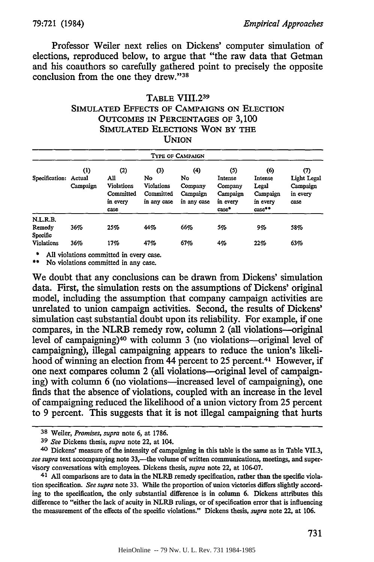Professor Weiler next relies on Dickens' computer simulation of elections, reproduced below, to argue that "the raw data that Getman and his coauthors so carefully gathered point to precisely the opposite conclusion from the one they drew."38

## **TABLE** VIII.239 **SIMULATED EFFECTS OF CAMPAIGNS ON** ELECTION **OUTCOMES** IN **PERCENTAGES OF** 3,100 SIMULATED **ELECTIONS WON BY THE UNION**

| TYPE OF CAMPAIGN               |                 |                                                                  |                                                            |                                                 |                                                            |                                                           |                                                  |  |  |  |
|--------------------------------|-----------------|------------------------------------------------------------------|------------------------------------------------------------|-------------------------------------------------|------------------------------------------------------------|-----------------------------------------------------------|--------------------------------------------------|--|--|--|
| Specification: Actual          | (1)<br>Campaign | (2)<br>All<br><b>Violations</b><br>Committed<br>in every<br>case | (3)<br>No<br><b>Violations</b><br>Committed<br>in any case | (4)<br>No<br>Company<br>Campaign<br>in any case | (5)<br>Intense<br>Company<br>Campaign<br>in every<br>case* | (6)<br>Intense<br>Legal<br>Campaign<br>in every<br>case** | の<br>Light Legal<br>Campaign<br>in every<br>case |  |  |  |
| N.L.R.B.<br>Remedy<br>Specific | 36%             | 25%                                                              | 44%                                                        | 66%                                             | 5%                                                         | 9%                                                        | 58%                                              |  |  |  |
| Violations                     | 36%             | 17%                                                              | 47%                                                        | 67%                                             | 4%                                                         | 22%                                                       | 63%                                              |  |  |  |

All violations committed in every case.

**\*\*** No violations committed in any case.

We doubt that any conclusions can be drawn from Dickens' simulation data. First, the simulation rests on the assumptions of Dickens' original model, including the assumption that company campaign activities are unrelated to union campaign activities. Second, the results of Dickens' simulation cast substantial doubt upon its reliability. For example, if one compares, in the NLRB remedy row, column 2 (all violations-original level of campaigning)<sup>40</sup> with column 3 (no violations-original level of campaigning), illegal campaigning appears to reduce the union's **likeli**hood of winning an election from 44 percent to **25** percent.4' However, if one next compares column 2 (all violations--original level of campaigning) with column 6 (no violations-increased level of campaigning), one finds that the absence of violations, coupled with an increase in the level of campaigning reduced the likelihood of a union victory from **25** percent to **9** percent. This suggests that it is not illegal campaigning that hurts

<sup>38</sup> Weiler, *Promises, supra* note **6,** at 1786.

*<sup>39</sup> See* Dickens thesis, *supra* note 22, at 104.

<sup>40</sup> Dickens' measure of the intensity of campaigning in this table is the same as in Table VII.3, see supra text accompanying note 33,—the volume of written communications, meetings, and supervisory conversations with employees. Dickens thesis, *supra* note 22, at 106-07.

<sup>41</sup> All comparisons are to data in the NLRB remedy specification, rather than the specific violation specification. *See supra* note 33. While the proportion of union victories differs slightly according to the specification, the only substantial difference is in column 6. Dickens attributes this difference to "either the lack of acuity in NLRB rulings, or of specification error that is influencing the measurement of the effects of the specific violations." Dickens thesis, *supra* note 22, at 106.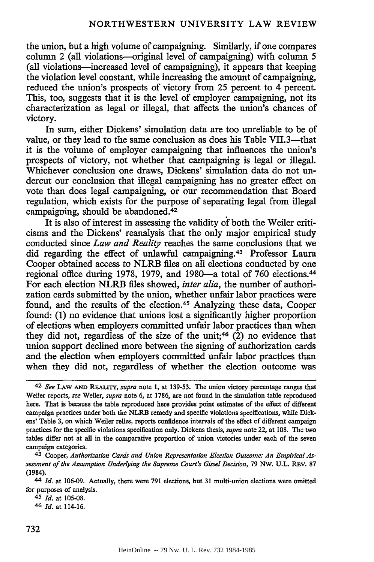the union, but a high volume of campaigning. Similarly, if one compares column 2 (all violations-original level of campaigning) with column 5 (all violations-increased level of campaigning), it appears that keeping the violation level constant, while increasing the amount of campaigning, reduced the union's prospects of victory from 25 percent to 4 percent. This, too, suggests that it is the level of employer campaigning, not its characterization as legal or illegal, that affects the union's chances of victory.

In sum, either Dickens' simulation data are too unreliable to be of value, or they lead to the same conclusion as does his Table VII.3—that it is the volume of employer campaigning that influences the union's prospects of victory, not whether that campaigning is legal or illegal. Whichever conclusion one draws, Dickens' simulation data do not undercut our conclusion that illegal campaigning has no greater effect on vote than does legal campaigning, or our recommendation that Board regulation, which exists for the purpose of separating legal from illegal campaigning, should be abandoned.<sup>42</sup>

It is also of interest in assessing the validity **of** both the Weiler criticisms and the Dickens' reanalysis that the only major empirical study conducted since *Law and Reality* reaches the same conclusions that we did regarding the effect of unlawful campaigning. 43 Professor Laura Cooper obtained access to NLRB files on all elections conducted by one regional office during 1978, 1979, and 1980—a total of 760 elections.<sup>44</sup> For each election NLRB files showed, *inter alia,* the number of authorization cards submitted by the union, whether unfair labor practices were found, and the results of the election.45 Analyzing these data, Cooper found: (1) no evidence that unions lost a significantly higher proportion of elections when employers committed unfair labor practices than when they did not, regardless of the size of the unit;<sup>46</sup>  $(2)$  no evidence that union support declined more between the signing of authorization cards and the election when employers committed unfair labor practices than when they did not, regardless of whether the election outcome was

45 *Id.* at 105-08.

46 *Ird.* at 114-16.

**<sup>42</sup>** *See* LAW **AND REALITY,** *supra* note 1, at **139-53.** The union victory percentage ranges that Weiler reports, *see* Weiler, *supra* note 6, at 1786, are not found in the simulation table reproduced here. That is because the table reproduced here provides point estimates of the effect of different campaign practices under both the NLRB remedy and specific violations specifications, while Dickens' Table 3, on which Weiler relies, reports confidence intervals of the effect of different campaign practices for the specific violations specification only. Dickens thesis, *supra* note 22, at 108. The two tables differ not at all in the comparative proportion of union victories under each of the seven campaign categories.

**<sup>43</sup>** Cooper, *Authorization Cards and Union Representation Election* Outcome: An *Empirical Assessment of the Assumption Underlying the Supreme Court's Gissel Decision,* 79 Nw. U.L. REV. **<sup>87</sup>** (1984).

*<sup>44</sup> Id.* at 106-09. Actually, there were 791 elections, but 31 multi-union elections were omitted for purposes of analysis.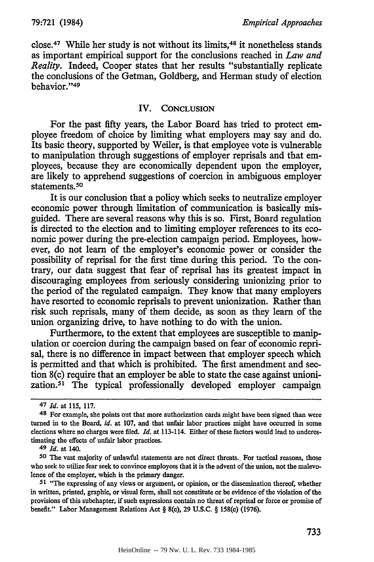close.<sup>47</sup> While her study is not without its limits,  $48$  it nonetheless stands as important empirical support for the conclusions reached in *Law and Reality.* Indeed, Cooper states that her results "substantially replicate the conclusions of the Getman, Goldberg, and Herman study of election behavior."<sup>49</sup>

# IV. **CONCLUSION**

For the past fifty years, the Labor Board has tried to protect employee freedom of choice by limiting what employers may say and do. Its basic theory, supported by Weiler, is that employee vote is vulnerable to manipulation through suggestions of employer reprisals and that employees, because they are economically dependent upon the employer, are likely to apprehend suggestions of coercion in ambiguous employer statements.<sup>50</sup>

It is our conclusion that a policy which seeks to neutralize employer economic power through limitation of communication is basically misguided. There are several reasons why this is so. First, Board regulation is directed to the election and to limiting employer references to its economic power during the pre-election campaign period. Employees, however, do not learn of the employer's economic power or consider the possibility of reprisal for the first time during this period. To the contrary, our data suggest that fear of reprisal has its greatest impact in discouraging employees from seriously considering unionizing prior to the period of the regulated campaign. They know that many employers have resorted to economic reprisals to prevent unionization. Rather than risk such reprisals, many of them decide, as soon as they learn of the union organizing drive, to have nothing to do with the union.

Furthermore, to the extent that employees are susceptible to manipulation or coercion during the campaign based on fear of economic reprisal, there is no difference in impact between that employer speech which is permitted and that which is prohibited. The first amendment and section 8(c) require that an employer be able to state the case against unionization.51 The typical professionally developed employer campaign

49 *Id.* at 140.

**50** The vast majority of unlawful statements are not direct threats. For tactical reasons, those who seek to utilize fear seek to convince employees that it is the advent of the union, not the malevolence of the employer, which is the primary danger.

**51** "The expressing of any views or argument, or opinion, or the dissemination thereof, whether in written, printed, graphic, or visual form, shall not constitute or be evidence of the violation of the provisions of this subchapter, if such expressions contain no threat of reprisal or force or promise of benefit." Labor Management Relations Act § 8(c), 29 U.S.C. § 158(c) (1976).

<sup>47</sup> *Id.* at 115, 117.

<sup>48</sup> For example, she points out that more authorization cards might have been signed than were turned in to the Board, id. at 107, and that unfair labor practices might have occurred in some elections where no charges were filed. *Id.* at 113-114. Either of these factors would lead to underestimating the effects of unfair labor practices.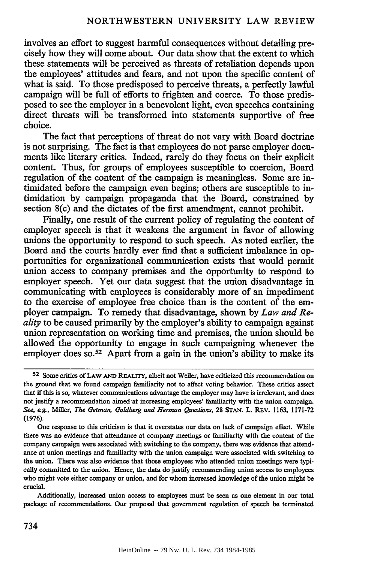involves an effort to suggest harmful consequences without detailing precisely how they will come about. Our data show that the extent to which these statements will be perceived as threats of retaliation depends upon the employees' attitudes and fears, and not upon the specific content of what is said. To those predisposed to perceive threats, a perfectly lawful campaign will be full of efforts to frighten and coerce. To those predisposed to see the employer in a benevolent light, even speeches containing direct threats will be transformed into statements supportive of free choice.

The fact that perceptions of threat do not vary with Board doctrine is not surprising. The fact is that employees do not parse employer documents like literary critics. Indeed, rarely do they focus on their explicit content. Thus, for groups of employees susceptible to coercion, Board regulation of the content of the campaign is meaningless. Some are intimidated before the campaign even begins; others are susceptible to intimidation by campaign propaganda that the Board, constrained by section 8(c) and the dictates of the first amendment, cannot prohibit.

Finally, one result of the current policy of regulating the content of employer speech is that it weakens the argument in favor of allowing unions the opportunity to respond to such speech. As noted earlier, the Board and the courts hardly ever find that a sufficient imbalance in opportunities for organizational communication exists that would permit union access to company premises and the opportunity to respond to employer speech. Yet our data suggest that the union disadvantage in communicating with employees is considerably more of an impediment to the exercise of employee free choice than is the content of the employer campaign. To remedy that disadvantage, shown by *Law and Reality* to be caused primarily by the employer's ability to campaign against union representation on working time and premises, the union should be allowed the opportunity to engage in such campaigning whenever the employer does so.<sup>52</sup> Apart from a gain in the union's ability to make its

Additionally, increased union access to employees must be seen as one element in our total package of recommendations. Our proposal that government regulation of speech be terminated

**<sup>52</sup>** Some critics of **LAW AND REALITY,** albeit not Weiler, have criticized this recommendation on the ground that we found campaign familiarity not to affect voting behavior. These critics assert that if this is so, whatever communications advantage the employer may have is irrelevant, and does not justify a recommendation aimed at increasing employees' familiarity with the union campaign. *See, eg.,* Miller, *The Getman, Goldberg and Herman Questions,* 28 **STAN.** L. REv. 1163, 1171-72 (1976).

One response to this criticism is that it overstates our data on lack of campaign effect. While there was no evidence that attendance at company meetings or familiarity with the content of the company campaign were associated with switching to the company, there was evidence that attendance at union meetings and familiarity with the union campaign were associated with switching to the union. There was also evidence that those employees who attended union meetings were typically committed to the union. Hence, the data do justify recommending union access to employees who might vote either company or union, and for whom increased knowledge of the union might be crucial.